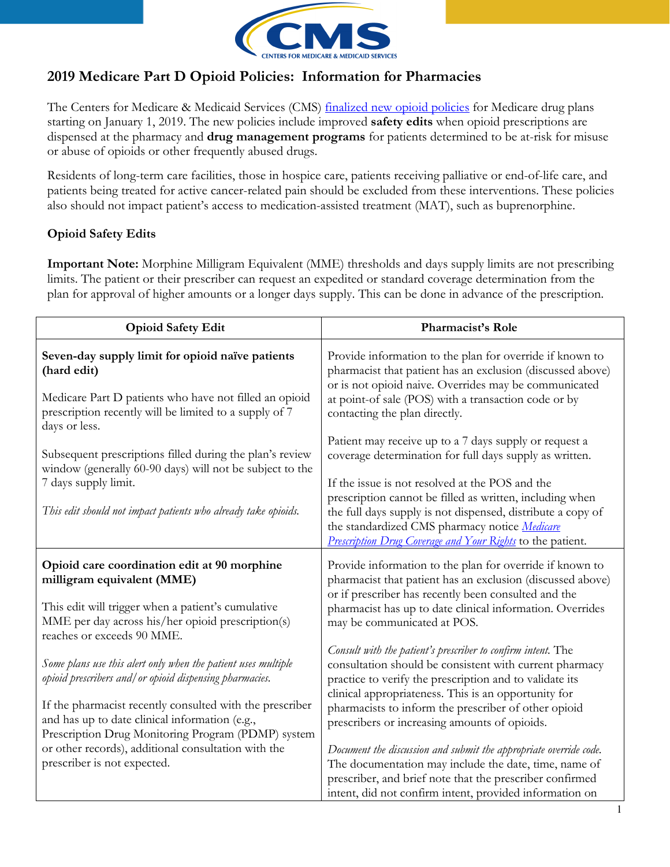

## 2019 Medicare Part D Opioid Policies: Information for Pharmacies

The Centers for Medicare & Medicaid Services (CMS) [finalized new opioid policies](https://www.cms.gov/Medicare/Prescription-Drug-coverage/PrescriptionDrugCovContra/RxUtilization.html) for Medicare drug plans starting on January 1, 2019. The new policies include improved **safety edits** when opioid prescriptions are dispensed at the pharmacy and **drug management programs** for patients determined to be at-risk for misuse or abuse of opioids or other frequently abused drugs.

Residents of long-term care facilities, those in hospice care, patients receiving palliative or end-of-life care, and patients being treated for active cancer-related pain should be excluded from these interventions. These policies also should not impact patient's access to medication-assisted treatment (MAT), such as buprenorphine.

## Opioid Safety Edits

Important Note: Morphine Milligram Equivalent (MME) thresholds and days supply limits are not prescribing limits. The patient or their prescriber can request an expedited or standard coverage determination from the plan for approval of higher amounts or a longer days supply. This can be done in advance of the prescription.

| <b>Opioid Safety Edit</b>                                                                                                                                                                                                                                                                                                                                                          | Pharmacist's Role                                                                                                                                                                                                                                                                                                                                                                                                        |
|------------------------------------------------------------------------------------------------------------------------------------------------------------------------------------------------------------------------------------------------------------------------------------------------------------------------------------------------------------------------------------|--------------------------------------------------------------------------------------------------------------------------------------------------------------------------------------------------------------------------------------------------------------------------------------------------------------------------------------------------------------------------------------------------------------------------|
| Seven-day supply limit for opioid naïve patients<br>(hard edit)<br>Medicare Part D patients who have not filled an opioid<br>prescription recently will be limited to a supply of 7                                                                                                                                                                                                | Provide information to the plan for override if known to<br>pharmacist that patient has an exclusion (discussed above)<br>or is not opioid naive. Overrides may be communicated<br>at point-of sale (POS) with a transaction code or by<br>contacting the plan directly.                                                                                                                                                 |
| days or less.<br>Subsequent prescriptions filled during the plan's review<br>window (generally 60-90 days) will not be subject to the<br>7 days supply limit.<br>This edit should not impact patients who already take opioids.                                                                                                                                                    | Patient may receive up to a 7 days supply or request a<br>coverage determination for full days supply as written.<br>If the issue is not resolved at the POS and the<br>prescription cannot be filled as written, including when<br>the full days supply is not dispensed, distribute a copy of<br>the standardized CMS pharmacy notice Medicare<br><b>Prescription Drug Coverage and Your Rights</b> to the patient.    |
| Opioid care coordination edit at 90 morphine<br>milligram equivalent (MME)<br>This edit will trigger when a patient's cumulative<br>MME per day across his/her opioid prescription(s)                                                                                                                                                                                              | Provide information to the plan for override if known to<br>pharmacist that patient has an exclusion (discussed above)<br>or if prescriber has recently been consulted and the<br>pharmacist has up to date clinical information. Overrides<br>may be communicated at POS.                                                                                                                                               |
| reaches or exceeds 90 MME.<br>Some plans use this alert only when the patient uses multiple<br>opioid prescribers and/ or opioid dispensing pharmacies.<br>If the pharmacist recently consulted with the prescriber<br>and has up to date clinical information (e.g.,<br>Prescription Drug Monitoring Program (PDMP) system<br>or other records), additional consultation with the | Consult with the patient's prescriber to confirm intent. The<br>consultation should be consistent with current pharmacy<br>practice to verify the prescription and to validate its<br>clinical appropriateness. This is an opportunity for<br>pharmacists to inform the prescriber of other opioid<br>prescribers or increasing amounts of opioids.<br>Document the discussion and submit the appropriate override code. |
| prescriber is not expected.                                                                                                                                                                                                                                                                                                                                                        | The documentation may include the date, time, name of<br>prescriber, and brief note that the prescriber confirmed<br>intent, did not confirm intent, provided information on                                                                                                                                                                                                                                             |